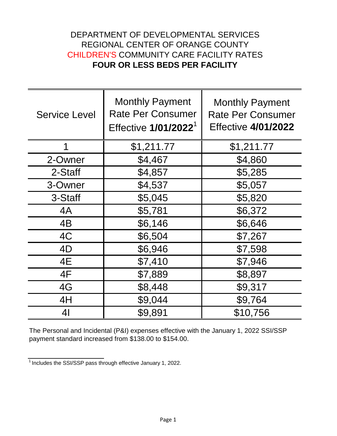## DEPARTMENT OF DEVELOPMENTAL SERVICES REGIONAL CENTER OF ORANGE COUNTY CHILDREN'S COMMUNITY CARE FACILITY RATES **FOUR OR LESS BEDS PER FACILITY**

| <b>Service Level</b> | <b>Monthly Payment</b><br><b>Rate Per Consumer</b><br>Effective 1/01/2022 <sup>1</sup> | <b>Monthly Payment</b><br><b>Rate Per Consumer</b><br><b>Effective 4/01/2022</b> |
|----------------------|----------------------------------------------------------------------------------------|----------------------------------------------------------------------------------|
| 1                    | \$1,211.77                                                                             | \$1,211.77                                                                       |
| 2-Owner              | \$4,467                                                                                | \$4,860                                                                          |
| 2-Staff              | \$4,857                                                                                | \$5,285                                                                          |
| 3-Owner              | \$4,537                                                                                | \$5,057                                                                          |
| 3-Staff              | \$5,045                                                                                | \$5,820                                                                          |
| 4A                   | \$5,781                                                                                | \$6,372                                                                          |
| 4B                   | \$6,146                                                                                | \$6,646                                                                          |
| 4C                   | \$6,504                                                                                | \$7,267                                                                          |
| 4D                   | \$6,946                                                                                | \$7,598                                                                          |
| 4E                   | \$7,410                                                                                | \$7,946                                                                          |
| 4F                   | \$7,889                                                                                | \$8,897                                                                          |
| 4G                   | \$8,448                                                                                | \$9,317                                                                          |
| 4H                   | \$9,044                                                                                | \$9,764                                                                          |
| 4 <sub>l</sub>       | \$9,891                                                                                | \$10,756                                                                         |

The Personal and Incidental (P&I) expenses effective with the January 1, 2022 SSI/SSP payment standard increased from \$138.00 to \$154.00.

 $\frac{1}{1}$  Includes the SSI/SSP pass through effective January 1, 2022.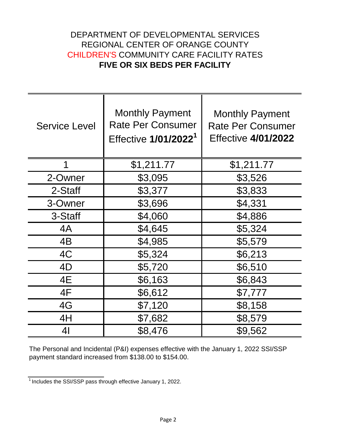## DEPARTMENT OF DEVELOPMENTAL SERVICES REGIONAL CENTER OF ORANGE COUNTY CHILDREN'S COMMUNITY CARE FACILITY RATES **FIVE OR SIX BEDS PER FACILITY**

| <b>Service Level</b> | <b>Monthly Payment</b><br><b>Rate Per Consumer</b><br>Effective 1/01/2022 <sup>1</sup> | <b>Monthly Payment</b><br><b>Rate Per Consumer</b><br><b>Effective 4/01/2022</b> |
|----------------------|----------------------------------------------------------------------------------------|----------------------------------------------------------------------------------|
| 1                    | \$1,211.77                                                                             | \$1,211.77                                                                       |
| 2-Owner              | \$3,095                                                                                | \$3,526                                                                          |
| 2-Staff              | \$3,377                                                                                | \$3,833                                                                          |
| 3-Owner              | \$3,696                                                                                | \$4,331                                                                          |
| 3-Staff              | \$4,060                                                                                | \$4,886                                                                          |
| 4A                   | \$4,645                                                                                | \$5,324                                                                          |
| 4B                   | \$4,985                                                                                | \$5,579                                                                          |
| 4C                   | \$5,324                                                                                | \$6,213                                                                          |
| 4D                   | \$5,720                                                                                | \$6,510                                                                          |
| 4E                   | \$6,163                                                                                | \$6,843                                                                          |
| 4F                   | \$6,612                                                                                | \$7,777                                                                          |
| 4G                   | \$7,120                                                                                | \$8,158                                                                          |
| 4H                   | \$7,682                                                                                | \$8,579                                                                          |
| 41                   | \$8,476                                                                                | \$9,562                                                                          |

The Personal and Incidental (P&I) expenses effective with the January 1, 2022 SSI/SSP payment standard increased from \$138.00 to \$154.00.

 $\frac{1}{1}$  Includes the SSI/SSP pass through effective January 1, 2022.